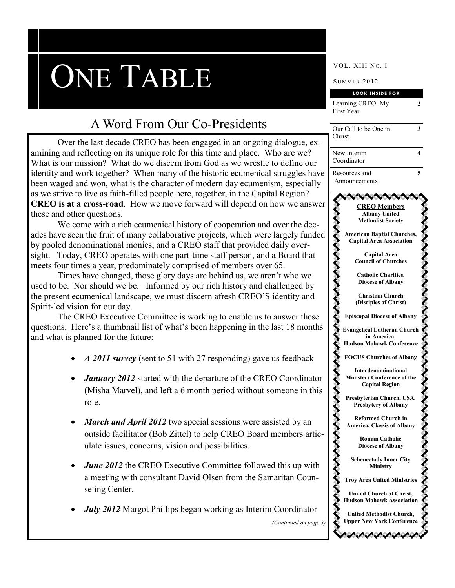# ONE TABLE SUMMER 2012

## A Word From Our Co-Presidents

Over the last decade CREO has been engaged in an ongoing dialogue, examining and reflecting on its unique role for this time and place. Who are we? What is our mission? What do we discern from God as we wrestle to define our identity and work together? When many of the historic ecumenical struggles have been waged and won, what is the character of modern day ecumenism, especially as we strive to live as faith-filled people here, together, in the Capital Region? **CREO is at a cross-road**. How we move forward will depend on how we answer these and other questions.

We come with a rich ecumenical history of cooperation and over the decades have seen the fruit of many collaborative projects, which were largely funded by pooled denominational monies, and a CREO staff that provided daily oversight. Today, CREO operates with one part-time staff person, and a Board that meets four times a year, predominately comprised of members over 65.

Times have changed, those glory days are behind us, we aren't who we used to be. Nor should we be. Informed by our rich history and challenged by the present ecumenical landscape, we must discern afresh CREO'S identity and Spirit-led vision for our day.

The CREO Executive Committee is working to enable us to answer these questions. Here's a thumbnail list of what's been happening in the last 18 months and what is planned for the future:

- *A 2011 survey* (sent to 51 with 27 responding) gave us feedback
- *January 2012* started with the departure of the CREO Coordinator (Misha Marvel), and left a 6 month period without someone in this role.
- March and April 2012 two special sessions were assisted by an outside facilitator (Bob Zittel) to help CREO Board members articulate issues, concerns, vision and possibilities.
- *June 2012* the CREO Executive Committee followed this up with a meeting with consultant David Olsen from the Samaritan Counseling Center.
- *July 2012* Margot Phillips began working as Interim Coordinator

|                       | <b>LOOK INSIDE FOR</b>                                               |  |
|-----------------------|----------------------------------------------------------------------|--|
|                       | Learning CREO: My<br>2                                               |  |
|                       | First Year                                                           |  |
|                       | 3<br>Our Call to be One in                                           |  |
|                       | Christ                                                               |  |
| dialogue, ex-         |                                                                      |  |
| ho are we?            | New Interim<br>4                                                     |  |
| to define our         | Coordinator                                                          |  |
| struggles have        | 5<br>Resources and                                                   |  |
| sm, especially        | Announcements                                                        |  |
| al Region?            |                                                                      |  |
| how we answer         | <b>CREO Members</b>                                                  |  |
|                       | <b>Albany United</b><br><b>Methodist Society</b>                     |  |
| over the dec-         |                                                                      |  |
| largely funded        | <b>American Baptist Churches,</b><br><b>Capital Area Association</b> |  |
| daily over-           |                                                                      |  |
| a Board that          | <b>Capital Area</b><br><b>Council of Churches</b>                    |  |
| .65.                  |                                                                      |  |
| n't who we            | <b>Catholic Charities,</b>                                           |  |
| nallenged by          | <b>Diocese of Albany</b>                                             |  |
| identity and          | <b>Christian Church</b>                                              |  |
|                       | (Disciples of Christ)                                                |  |
| answer these          | <b>Episcopal Diocese of Albany</b>                                   |  |
| last 18 months        | <b>Evangelical Lutheran Church</b>                                   |  |
|                       | in America,                                                          |  |
|                       | <b>Hudson Mohawk Conference</b>                                      |  |
| us feedback           | <b>FOCUS Churches of Albany</b>                                      |  |
|                       | Interdenominational                                                  |  |
| O Coordinator         | <b>Ministers Conference of the</b>                                   |  |
| omeone in this        | <b>Capital Region</b>                                                |  |
|                       | Presbyterian Church, USA,                                            |  |
|                       | <b>Presbytery of Albany</b>                                          |  |
| sisted by an          | <b>Reformed Church in</b>                                            |  |
|                       | America, Classis of Albany                                           |  |
| members artic-        | <b>Roman Catholic</b>                                                |  |
|                       | <b>Diocese of Albany</b>                                             |  |
|                       | <b>Schenectady Inner City</b>                                        |  |
| d this up with        | <b>Ministry</b>                                                      |  |
| naritan Coun-         | <b>Troy Area United Ministries</b>                                   |  |
|                       | <b>United Church of Christ,</b>                                      |  |
|                       | <b>Hudson Mohawk Association</b>                                     |  |
| Coordinator           | <b>United Methodist Church,</b>                                      |  |
| (Continued on page 3) | <b>Upper New York Conference</b>                                     |  |
|                       |                                                                      |  |
|                       |                                                                      |  |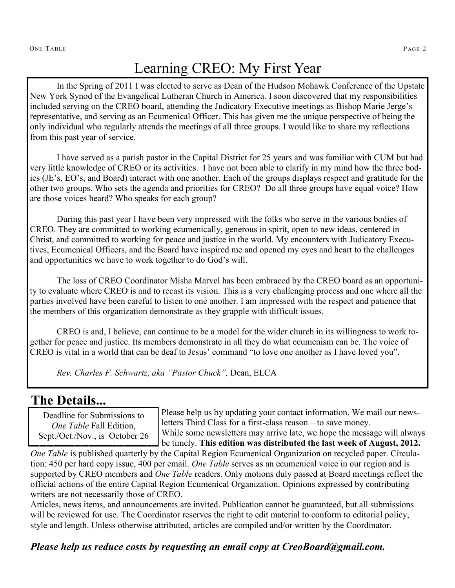# Learning CREO: My First Year

In the Spring of 2011 I was elected to serve as Dean of the Hudson Mohawk Conference of the Upstate New York Synod of the Evangelical Lutheran Church in America. I soon discovered that my responsibilities included serving on the CREO board, attending the Judicatory Executive meetings as Bishop Marie Jerge's representative, and serving as an Ecumenical Officer. This has given me the unique perspective of being the only individual who regularly attends the meetings of all three groups. I would like to share my reflections from this past year of service.

I have served as a parish pastor in the Capital District for 25 years and was familiar with CUM but had very little knowledge of CREO or its activities. I have not been able to clarify in my mind how the three bodies (JE's, EO's, and Board) interact with one another. Each of the groups displays respect and gratitude for the other two groups. Who sets the agenda and priorities for CREO? Do all three groups have equal voice? How are those voices heard? Who speaks for each group?

During this past year I have been very impressed with the folks who serve in the various bodies of CREO. They are committed to working ecumenically, generous in spirit, open to new ideas, centered in Christ, and committed to working for peace and justice in the world. My encounters with Judicatory Executives, Ecumenical Officers, and the Board have inspired me and opened my eyes and heart to the challenges and opportunities we have to work together to do God's will.

The loss of CREO Coordinator Misha Marvel has been embraced by the CREO board as an opportunity to evaluate where CREO is and to recast its vision. This is a very challenging process and one where all the parties involved have been careful to listen to one another. I am impressed with the respect and patience that the members of this organization demonstrate as they grapple with difficult issues.

CREO is and, I believe, can continue to be a model for the wider church in its willingness to work together for peace and justice. Its members demonstrate in all they do what ecumenism can be. The voice of CREO is vital in a world that can be deaf to Jesus' command "to love one another as I have loved you".

*Rev. Charles F. Schwartz, aka "Pastor Chuck",* Dean, ELCA

### **The Details...**

Deadline for Submissions to *One Table* Fall Edition, Sept./Oct./Nov., is October 26

Please help us by updating your contact information. We mail our newsletters Third Class for a first-class reason – to save money. While some newsletters may arrive late, we hope the message will always

be timely. **This edition was distributed the last week of August, 2012.**

*One Table* is published quarterly by the Capital Region Ecumenical Organization on recycled paper. Circulation: 450 per hard copy issue, 400 per email. *One Table* serves as an ecumenical voice in our region and is supported by CREO members and *One Table* readers. Only motions duly passed at Board meetings reflect the official actions of the entire Capital Region Ecumenical Organization. Opinions expressed by contributing writers are not necessarily those of CREO.

Articles, news items, and announcements are invited. Publication cannot be guaranteed, but all submissions will be reviewed for use. The Coordinator reserves the right to edit material to conform to editorial policy, style and length. Unless otherwise attributed, articles are compiled and/or written by the Coordinator.

*Please help us reduce costs by requesting an email copy at CreoBoard@gmail.com.*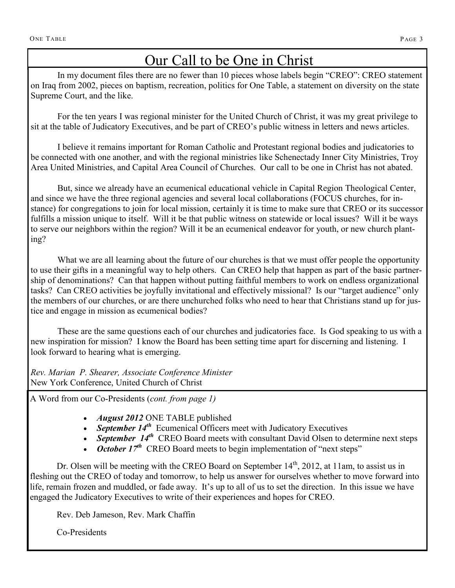# Our Call to be One in Christ

In my document files there are no fewer than 10 pieces whose labels begin "CREO": CREO statement on Iraq from 2002, pieces on baptism, recreation, politics for One Table, a statement on diversity on the state Supreme Court, and the like.

For the ten years I was regional minister for the United Church of Christ, it was my great privilege to sit at the table of Judicatory Executives, and be part of CREO's public witness in letters and news articles.

I believe it remains important for Roman Catholic and Protestant regional bodies and judicatories to be connected with one another, and with the regional ministries like Schenectady Inner City Ministries, Troy Area United Ministries, and Capital Area Council of Churches. Our call to be one in Christ has not abated.

But, since we already have an ecumenical educational vehicle in Capital Region Theological Center, and since we have the three regional agencies and several local collaborations (FOCUS churches, for instance) for congregations to join for local mission, certainly it is time to make sure that CREO or its successor fulfills a mission unique to itself. Will it be that public witness on statewide or local issues? Will it be ways to serve our neighbors within the region? Will it be an ecumenical endeavor for youth, or new church planting?

What we are all learning about the future of our churches is that we must offer people the opportunity to use their gifts in a meaningful way to help others. Can CREO help that happen as part of the basic partnership of denominations? Can that happen without putting faithful members to work on endless organizational tasks? Can CREO activities be joyfully invitational and effectively missional? Is our "target audience" only the members of our churches, or are there unchurched folks who need to hear that Christians stand up for justice and engage in mission as ecumenical bodies?

These are the same questions each of our churches and judicatories face. Is God speaking to us with a new inspiration for mission? I know the Board has been setting time apart for discerning and listening. I look forward to hearing what is emerging.

*Rev. Marian P. Shearer, Associate Conference Minister*  New York Conference, United Church of Christ

A Word from our Co-Presidents (*cont. from page 1)*

- *August 2012* ONE TABLE published
- September 14<sup>th</sup> Ecumenical Officers meet with Judicatory Executives
- September 14<sup>th</sup> CREO Board meets with consultant David Olsen to determine next steps
- October 17<sup>th</sup> CREO Board meets to begin implementation of "next steps"

Dr. Olsen will be meeting with the CREO Board on September 14<sup>th</sup>, 2012, at 11am, to assist us in fleshing out the CREO of today and tomorrow, to help us answer for ourselves whether to move forward into life, remain frozen and muddled, or fade away. It's up to all of us to set the direction. In this issue we have engaged the Judicatory Executives to write of their experiences and hopes for CREO.

Rev. Deb Jameson, Rev. Mark Chaffin

Co-Presidents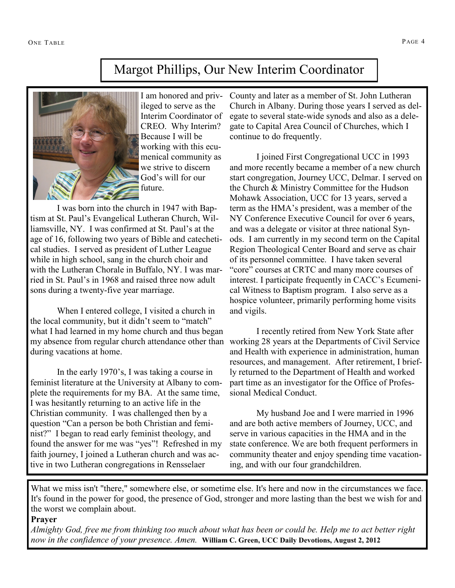## Margot Phillips, Our New Interim Coordinator



I am honored and privileged to serve as the Interim Coordinator of CREO. Why Interim? Because I will be working with this ecumenical community as we strive to discern God's will for our future.

I was born into the church in 1947 with Baptism at St. Paul's Evangelical Lutheran Church, Williamsville, NY. I was confirmed at St. Paul's at the age of 16, following two years of Bible and catechetical studies. I served as president of Luther League while in high school, sang in the church choir and with the Lutheran Chorale in Buffalo, NY. I was married in St. Paul's in 1968 and raised three now adult sons during a twenty-five year marriage.

When I entered college, I visited a church in the local community, but it didn't seem to "match" what I had learned in my home church and thus began my absence from regular church attendance other than during vacations at home.

In the early 1970's, I was taking a course in feminist literature at the University at Albany to complete the requirements for my BA. At the same time, I was hesitantly returning to an active life in the Christian community. I was challenged then by a question "Can a person be both Christian and feminist?" I began to read early feminist theology, and found the answer for me was "yes"! Refreshed in my faith journey, I joined a Lutheran church and was active in two Lutheran congregations in Rensselaer

County and later as a member of St. John Lutheran Church in Albany. During those years I served as delegate to several state-wide synods and also as a delegate to Capital Area Council of Churches, which I continue to do frequently.

I joined First Congregational UCC in 1993 and more recently became a member of a new church start congregation, Journey UCC, Delmar. I served on the Church & Ministry Committee for the Hudson Mohawk Association, UCC for 13 years, served a term as the HMA's president, was a member of the NY Conference Executive Council for over 6 years, and was a delegate or visitor at three national Synods. I am currently in my second term on the Capital Region Theological Center Board and serve as chair of its personnel committee. I have taken several "core" courses at CRTC and many more courses of interest. I participate frequently in CACC's Ecumenical Witness to Baptism program. I also serve as a hospice volunteer, primarily performing home visits and vigils.

I recently retired from New York State after working 28 years at the Departments of Civil Service and Health with experience in administration, human resources, and management. After retirement, I briefly returned to the Department of Health and worked part time as an investigator for the Office of Professional Medical Conduct.

My husband Joe and I were married in 1996 and are both active members of Journey, UCC, and serve in various capacities in the HMA and in the state conference. We are both frequent performers in community theater and enjoy spending time vacationing, and with our four grandchildren.

What we miss isn't "there," somewhere else, or sometime else. It's here and now in the circumstances we face. It's found in the power for good, the presence of God, stronger and more lasting than the best we wish for and the worst we complain about.

#### **Prayer**

*Almighty God, free me from thinking too much about what has been or could be. Help me to act better right now in the confidence of your presence. Amen.* **William C. Green, UCC Daily Devotions, August 2, 2012**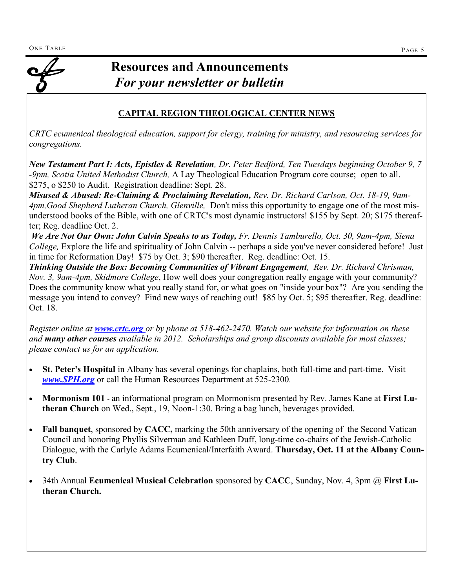#### **CAPITAL REGION THEOLOGICAL CENTER NEWS**

*CRTC ecumenical theological education, support for clergy, training for ministry, and resourcing services for congregations.*

*New Testament Part I: Acts, Epistles & Revelation, Dr. Peter Bedford, Ten Tuesdays beginning October 9, 7 -9pm, Scotia United Methodist Church,* A Lay Theological Education Program core course;open to all. \$275, o \$250 to Audit. Registration deadline: Sept. 28.

*Misused & Abused: Re-Claiming & Proclaiming Revelation, Rev. Dr. Richard Carlson, Oct. 18-19, 9am-4pm,Good Shepherd Lutheran Church, Glenville,* Don't miss this opportunity to engage one of the most misunderstood books of the Bible, with one of CRTC's most dynamic instructors! \$155 by Sept. 20; \$175 thereafter; Reg. deadline Oct. 2.

*We Are Not Our Own: John Calvin Speaks to us Today, Fr. Dennis Tamburello, Oct. 30, 9am-4pm, Siena College,* Explore the life and spirituality of John Calvin -- perhaps a side you've never considered before! Just in time for Reformation Day! \$75 by Oct. 3; \$90 thereafter. Reg. deadline: Oct. 15.

*Thinking Outside the Box: Becoming Communities of Vibrant Engagement, Rev. Dr. Richard Chrisman, Nov. 3, 9am-4pm, Skidmore College*, How well does your congregation really engage with your community? Does the community know what you really stand for, or what goes on "inside your box"? Are you sending the message you intend to convey? Find new ways of reaching out! \$85 by Oct. 5; \$95 thereafter. Reg. deadline: Oct. 18.

*Register online at www.crtc.org or by phone at 518-462-2470. Watch our website for information on these and many other courses available in 2012. Scholarships and group discounts available for most classes; please contact us for an application.*

- **St. Peter's Hospital** in Albany has several openings for chaplains, both full-time and part-time. Visit *[www.SPH.org](http://www.SPH.org)* or call the Human Resources Department at 525-2300.
- **Mormonism 101**  an informational program on Mormonism presented by Rev. James Kane at **First Lutheran Church** on Wed., Sept., 19, Noon-1:30. Bring a bag lunch, beverages provided.
- **Fall banquet**, sponsored by **CACC,** marking the 50th anniversary of the opening of the Second Vatican Council and honoring Phyllis Silverman and Kathleen Duff, long-time co-chairs of the Jewish-Catholic Dialogue, with the Carlyle Adams Ecumenical/Interfaith Award. **Thursday, Oct. 11 at the Albany Country Club**.
- 34th Annual **Ecumenical Musical Celebration** sponsored by **CACC**, Sunday, Nov. 4, 3pm @ **First Lutheran Church.**